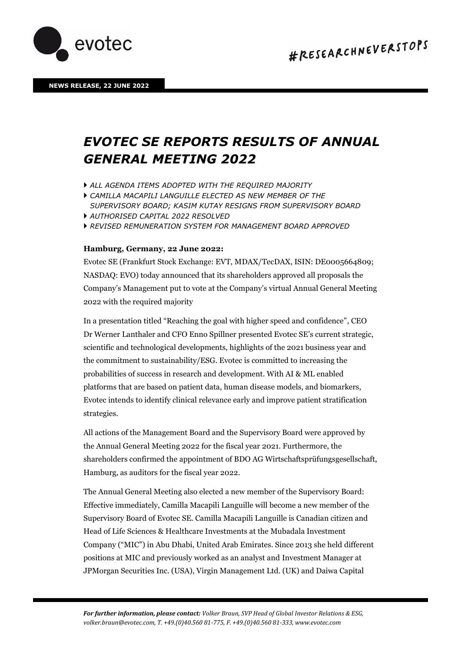

## *EVOTEC SE REPORTS RESULTS OF ANNUAL GENERAL MEETING 2022*

- *ALL AGENDA ITEMS ADOPTED WITH THE REQUIRED MAJORITY*
- *CAMILLA MACAPILI LANGUILLE ELECTED AS NEW MEMBER OF THE SUPERVISORY BOARD; KASIM KUTAY RESIGNS FROM SUPERVISORY BOARD*
- *AUTHORISED CAPITAL 2022 RESOLVED*
- *REVISED REMUNERATION SYSTEM FOR MANAGEMENT BOARD APPROVED*

## **Hamburg, Germany, 22 June 2022:**

Evotec SE (Frankfurt Stock Exchange: EVT, MDAX/TecDAX, ISIN: DE0005664809; NASDAQ: EVO) today announced that its shareholders approved all proposals the Company's Management put to vote at the Company's virtual Annual General Meeting 2022 with the required majority

In a presentation titled "Reaching the goal with higher speed and confidence", CEO Dr Werner Lanthaler and CFO Enno Spillner presented Evotec SE's current strategic, scientific and technological developments, highlights of the 2021 business year and the commitment to sustainability/ESG. Evotec is committed to increasing the probabilities of success in research and development. With AI & ML enabled platforms that are based on patient data, human disease models, and biomarkers, Evotec intends to identify clinical relevance early and improve patient stratification strategies.

All actions of the Management Board and the Supervisory Board were approved by the Annual General Meeting 2022 for the fiscal year 2021. Furthermore, the shareholders confirmed the appointment of BDO AG Wirtschaftsprüfungsgesellschaft, Hamburg, as auditors for the fiscal year 2022.

The Annual General Meeting also elected a new member of the Supervisory Board: Effective immediately, Camilla Macapili Languille will become a new member of the Supervisory Board of Evotec SE. Camilla Macapili Languille is Canadian citizen and Head of Life Sciences & Healthcare Investments at the Mubadala Investment Company ("MIC") in Abu Dhabi, United Arab Emirates. Since 2013 she held different positions at MIC and previously worked as an analyst and Investment Manager at JPMorgan Securities Inc. (USA), Virgin Management Ltd. (UK) and Daiwa Capital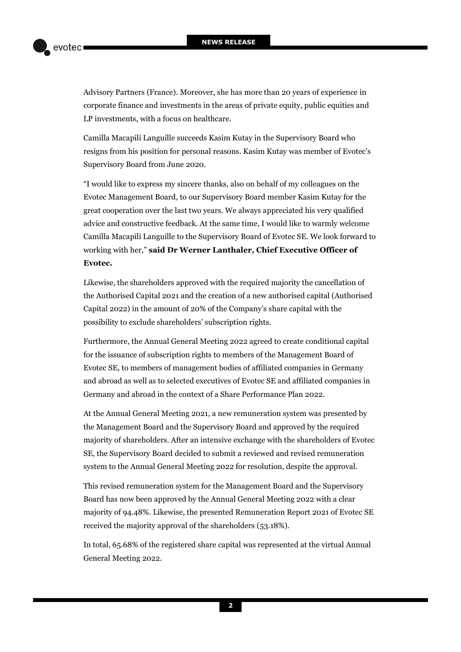Advisory Partners (France). Moreover, she has more than 20 years of experience in corporate finance and investments in the areas of private equity, public equities and LP investments, with a focus on healthcare.

Camilla Macapili Languille succeeds Kasim Kutay in the Supervisory Board who resigns from his position for personal reasons. Kasim Kutay was member of Evotec's Supervisory Board from June 2020.

"I would like to express my sincere thanks, also on behalf of my colleagues on the Evotec Management Board, to our Supervisory Board member Kasim Kutay for the great cooperation over the last two years. We always appreciated his very qualified advice and constructive feedback. At the same time, I would like to warmly welcome Camilla Macapili Languille to the Supervisory Board of Evotec SE. We look forward to working with her," **said Dr Werner Lanthaler, Chief Executive Officer of Evotec.** 

Likewise, the shareholders approved with the required majority the cancellation of the Authorised Capital 2021 and the creation of a new authorised capital (Authorised Capital 2022) in the amount of 20% of the Company's share capital with the possibility to exclude shareholders' subscription rights.

Furthermore, the Annual General Meeting 2022 agreed to create conditional capital for the issuance of subscription rights to members of the Management Board of Evotec SE, to members of management bodies of affiliated companies in Germany and abroad as well as to selected executives of Evotec SE and affiliated companies in Germany and abroad in the context of a Share Performance Plan 2022.

At the Annual General Meeting 2021, a new remuneration system was presented by the Management Board and the Supervisory Board and approved by the required majority of shareholders. After an intensive exchange with the shareholders of Evotec SE, the Supervisory Board decided to submit a reviewed and revised remuneration system to the Annual General Meeting 2022 for resolution, despite the approval.

This revised remuneration system for the Management Board and the Supervisory Board has now been approved by the Annual General Meeting 2022 with a clear majority of 94.48%. Likewise, the presented Remuneration Report 2021 of Evotec SE received the majority approval of the shareholders (53.18%).

In total, 65.68% of the registered share capital was represented at the virtual Annual General Meeting 2022.